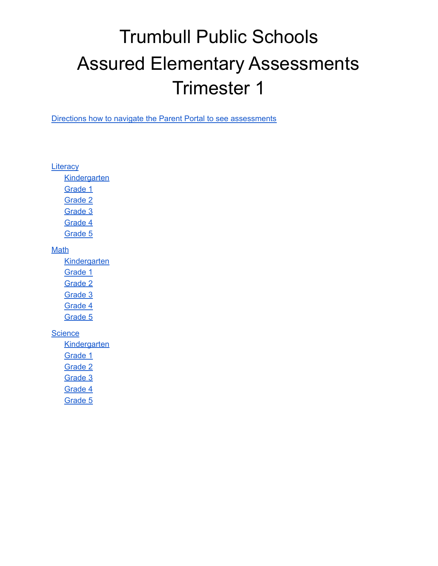# Trumbull Public Schools Assured Elementary Assessments Trimester 1

Directions how to navigate the Parent Portal to see [assessments](https://docs.google.com/document/d/1BDwbZsobgZtfL21wTt8kdw4y7JCqwn94UyKb1XPw9x0/edit?usp=sharing)

**[Literacy](#page-1-0)** 

**[Kindergarten](#page-1-1)** 

[Grade](#page-1-2) 1

[Grade](#page-1-3) 2

[Grade](#page-2-0) 3

[Grade](#page-2-1) 4

[Grade](#page-2-2) 5

#### Math

**Kindergarten** 

Grade 1

Grade 2

Grade 3

Grade 4

Grade 5

#### **[Science](#page-4-0)**

- **[Kindergarten](#page-4-1)**
- [Grade](#page-4-2) 1
- [Grade](#page-4-3) 2

[Grade](#page-4-4) 3

[Grade](#page-5-0) 4

[Grade](#page-5-1) 5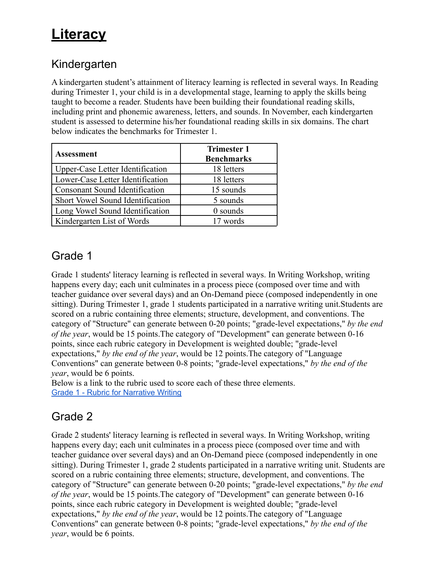# <span id="page-1-0"></span>**Literacy**

#### <span id="page-1-1"></span>Kindergarten

A kindergarten student's attainment of literacy learning is reflected in several ways. In Reading during Trimester 1, your child is in a developmental stage, learning to apply the skills being taught to become a reader. Students have been building their foundational reading skills, including print and phonemic awareness, letters, and sounds. In November, each kindergarten student is assessed to determine his/her foundational reading skills in six domains. The chart below indicates the benchmarks for Trimester 1.

| <b>Assessment</b>                | <b>Trimester 1</b><br><b>Benchmarks</b> |
|----------------------------------|-----------------------------------------|
| Upper-Case Letter Identification | 18 letters                              |
| Lower-Case Letter Identification | 18 letters                              |
| Consonant Sound Identification   | 15 sounds                               |
| Short Vowel Sound Identification | 5 sounds                                |
| Long Vowel Sound Identification  | 0 sounds                                |
| Kindergarten List of Words       | 17 words                                |

#### <span id="page-1-2"></span>Grade 1

Grade 1 students' literacy learning is reflected in several ways. In Writing Workshop, writing happens every day; each unit culminates in a process piece (composed over time and with teacher guidance over several days) and an On-Demand piece (composed independently in one sitting). During Trimester 1, grade 1 students participated in a narrative writing unit.Students are scored on a rubric containing three elements; structure, development, and conventions. The category of "Structure" can generate between 0-20 points; "grade-level expectations," *by the end of the year*, would be 15 points.The category of "Development" can generate between 0-16 points, since each rubric category in Development is weighted double; "grade-level expectations," *by the end of the year*, would be 12 points.The category of "Language Conventions" can generate between 0-8 points; "grade-level expectations," *by the end of the year*, would be 6 points.

Below is a link to the rubric used to score each of these three elements. Grade 1 - Rubric for [Narrative](https://www.trumbullps.org/Attachments/curr/writingworkshop/rubrics/wwgrade1narrrubric.pdf) Writing

### <span id="page-1-3"></span>Grade 2

Grade 2 students' literacy learning is reflected in several ways. In Writing Workshop, writing happens every day; each unit culminates in a process piece (composed over time and with teacher guidance over several days) and an On-Demand piece (composed independently in one sitting). During Trimester 1, grade 2 students participated in a narrative writing unit. Students are scored on a rubric containing three elements; structure, development, and conventions. The category of "Structure" can generate between 0-20 points; "grade-level expectations," *by the end of the year*, would be 15 points.The category of "Development" can generate between 0-16 points, since each rubric category in Development is weighted double; "grade-level expectations," *by the end of the year*, would be 12 points.The category of "Language Conventions" can generate between 0-8 points; "grade-level expectations," *by the end of the year*, would be 6 points.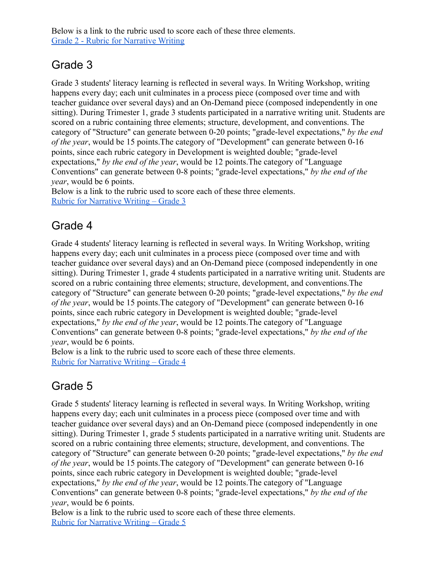Below is a link to the rubric used to score each of these three elements. [Grade 2 - Rubric for Narrative Writing](https://www.trumbullps.org/Attachments/curr/writingworkshop/rubrics/wwgrade2narrrubric.pdf)

#### <span id="page-2-0"></span>Grade 3

Grade 3 students' literacy learning is reflected in several ways. In Writing Workshop, writing happens every day; each unit culminates in a process piece (composed over time and with teacher guidance over several days) and an On-Demand piece (composed independently in one sitting). During Trimester 1, grade 3 students participated in a narrative writing unit. Students are scored on a rubric containing three elements; structure, development, and conventions. The category of "Structure" can generate between 0-20 points; "grade-level expectations," *by the end of the year*, would be 15 points.The category of "Development" can generate between 0-16 points, since each rubric category in Development is weighted double; "grade-level expectations," *by the end of the year*, would be 12 points.The category of "Language Conventions" can generate between 0-8 points; "grade-level expectations," *by the end of the year*, would be 6 points.

Below is a link to the rubric used to score each of these three elements. [Rubric for Narrative Writing – Grade 3](https://www.trumbullps.org/Attachments/curr/writingworkshop/rubrics/wwgrade3narrrubric.pdf)

#### <span id="page-2-1"></span>Grade 4

Grade 4 students' literacy learning is reflected in several ways. In Writing Workshop, writing happens every day; each unit culminates in a process piece (composed over time and with teacher guidance over several days) and an On-Demand piece (composed independently in one sitting). During Trimester 1, grade 4 students participated in a narrative writing unit. Students are scored on a rubric containing three elements; structure, development, and conventions.The category of "Structure" can generate between 0-20 points; "grade-level expectations," *by the end of the year*, would be 15 points.The category of "Development" can generate between 0-16 points, since each rubric category in Development is weighted double; "grade-level expectations," *by the end of the year*, would be 12 points.The category of "Language Conventions" can generate between 0-8 points; "grade-level expectations," *by the end of the year*, would be 6 points.

Below is a link to the rubric used to score each of these three elements. [Rubric for Narrative Writing – Grade 4](https://www.trumbullps.org/Attachments/curr/writingworkshop/rubrics/wwgrade4narrrubric.pdf)

### <span id="page-2-2"></span>Grade 5

Grade 5 students' literacy learning is reflected in several ways. In Writing Workshop, writing happens every day; each unit culminates in a process piece (composed over time and with teacher guidance over several days) and an On-Demand piece (composed independently in one sitting). During Trimester 1, grade 5 students participated in a narrative writing unit. Students are scored on a rubric containing three elements; structure, development, and conventions. The category of "Structure" can generate between 0-20 points; "grade-level expectations," *by the end of the year*, would be 15 points.The category of "Development" can generate between 0-16 points, since each rubric category in Development is weighted double; "grade-level expectations," *by the end of the year*, would be 12 points.The category of "Language Conventions" can generate between 0-8 points; "grade-level expectations," *by the end of the year*, would be 6 points.

Below is a link to the rubric used to score each of these three elements. [Rubric for Narrative Writing – Grade 5](https://www.trumbullps.org/Attachments/curr/writingworkshop/rubrics/wwgrade5narrrubric.pdf)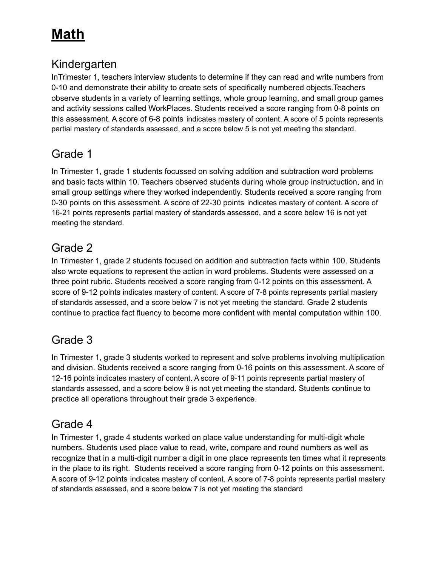# **Math**

#### Kindergarten

InTrimester 1, teachers interview students to determine if they can read and write numbers from 0-10 and demonstrate their ability to create sets of specifically numbered objects.Teachers observe students in a variety of learning settings, whole group learning, and small group games and activity sessions called WorkPlaces. Students received a score ranging from 0-8 points on this assessment. A score of 6-8 points indicates mastery of content. A score of 5 points represents partial mastery of standards assessed, and a score below 5 is not yet meeting the standard.

#### Grade 1

In Trimester 1, grade 1 students focussed on solving addition and subtraction word problems and basic facts within 10. Teachers observed students during whole group instructuction, and in small group settings where they worked independently. Students received a score ranging from 0-30 points on this assessment. A score of 22-30 points indicates mastery of content. A score of 16-21 points represents partial mastery of standards assessed, and a score below 16 is not yet meeting the standard.

#### Grade 2

In Trimester 1, grade 2 students focused on addition and subtraction facts within 100. Students also wrote equations to represent the action in word problems. Students were assessed on a three point rubric. Students received a score ranging from 0-12 points on this assessment. A score of 9-12 points indicates mastery of content. A score of 7-8 points represents partial mastery of standards assessed, and a score below 7 is not yet meeting the standard. Grade 2 students continue to practice fact fluency to become more confident with mental computation within 100.

### Grade 3

In Trimester 1, grade 3 students worked to represent and solve problems involving multiplication and division. Students received a score ranging from 0-16 points on this assessment. A score of 12-16 points indicates mastery of content. A score of 9-11 points represents partial mastery of standards assessed, and a score below 9 is not yet meeting the standard. Students continue to practice all operations throughout their grade 3 experience.

#### Grade 4

In Trimester 1, grade 4 students worked on place value understanding for multi-digit whole numbers. Students used place value to read, write, compare and round numbers as well as recognize that in a multi-digit number a digit in one place represents ten times what it represents in the place to its right. Students received a score ranging from 0-12 points on this assessment. A score of 9-12 points indicates mastery of content. A score of 7-8 points represents partial mastery of standards assessed, and a score below 7 is not yet meeting the standard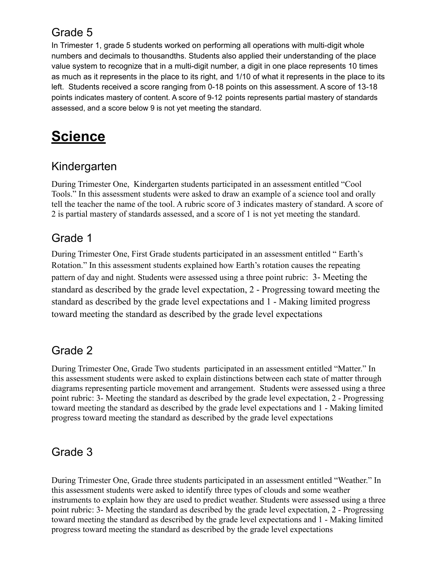#### Grade 5

In Trimester 1, grade 5 students worked on performing all operations with multi-digit whole numbers and decimals to thousandths. Students also applied their understanding of the place value system to recognize that in a multi-digit number, a digit in one place represents 10 times as much as it represents in the place to its right, and 1/10 of what it represents in the place to its left. Students received a score ranging from 0-18 points on this assessment. A score of 13-18 points indicates mastery of content. A score of 9-12 points represents partial mastery of standards assessed, and a score below 9 is not yet meeting the standard.

## <span id="page-4-0"></span>**Science**

#### <span id="page-4-1"></span>Kindergarten

During Trimester One, Kindergarten students participated in an assessment entitled "Cool Tools." In this assessment students were asked to draw an example of a science tool and orally tell the teacher the name of the tool. A rubric score of 3 indicates mastery of standard. A score of 2 is partial mastery of standards assessed, and a score of 1 is not yet meeting the standard.

#### <span id="page-4-2"></span>Grade 1

During Trimester One, First Grade students participated in an assessment entitled " Earth's Rotation." In this assessment students explained how Earth's rotation causes the repeating pattern of day and night. Students were assessed using a three point rubric: 3- Meeting the standard as described by the grade level expectation, 2 - Progressing toward meeting the standard as described by the grade level expectations and 1 - Making limited progress toward meeting the standard as described by the grade level expectations

### <span id="page-4-3"></span>Grade 2

During Trimester One, Grade Two students participated in an assessment entitled "Matter." In this assessment students were asked to explain distinctions between each state of matter through diagrams representing particle movement and arrangement. Students were assessed using a three point rubric: 3- Meeting the standard as described by the grade level expectation, 2 - Progressing toward meeting the standard as described by the grade level expectations and 1 - Making limited progress toward meeting the standard as described by the grade level expectations

### <span id="page-4-4"></span>Grade 3

During Trimester One, Grade three students participated in an assessment entitled "Weather." In this assessment students were asked to identify three types of clouds and some weather instruments to explain how they are used to predict weather. Students were assessed using a three point rubric: 3- Meeting the standard as described by the grade level expectation, 2 - Progressing toward meeting the standard as described by the grade level expectations and 1 - Making limited progress toward meeting the standard as described by the grade level expectations